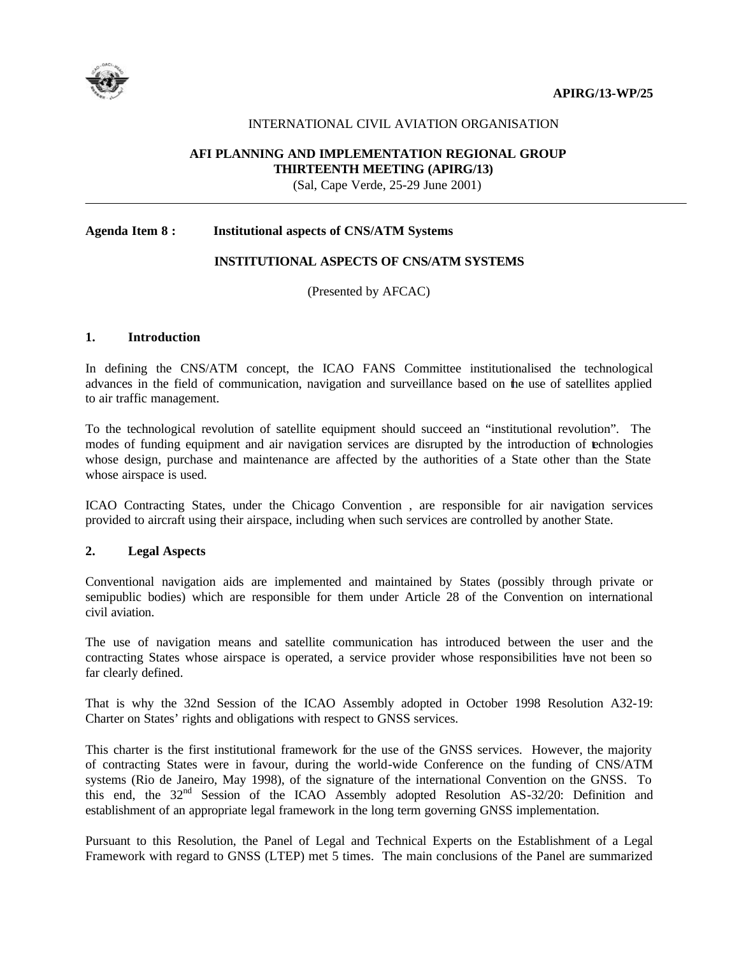



#### INTERNATIONAL CIVIL AVIATION ORGANISATION

## **AFI PLANNING AND IMPLEMENTATION REGIONAL GROUP THIRTEENTH MEETING (APIRG/13)**

(Sal, Cape Verde, 25-29 June 2001)

### **Agenda Item 8 : Institutional aspects of CNS/ATM Systems**

## **INSTITUTIONAL ASPECTS OF CNS/ATM SYSTEMS**

(Presented by AFCAC)

#### **1. Introduction**

In defining the CNS/ATM concept, the ICAO FANS Committee institutionalised the technological advances in the field of communication, navigation and surveillance based on the use of satellites applied to air traffic management.

To the technological revolution of satellite equipment should succeed an "institutional revolution". The modes of funding equipment and air navigation services are disrupted by the introduction of technologies whose design, purchase and maintenance are affected by the authorities of a State other than the State whose airspace is used.

ICAO Contracting States, under the Chicago Convention , are responsible for air navigation services provided to aircraft using their airspace, including when such services are controlled by another State.

#### **2. Legal Aspects**

Conventional navigation aids are implemented and maintained by States (possibly through private or semipublic bodies) which are responsible for them under Article 28 of the Convention on international civil aviation.

The use of navigation means and satellite communication has introduced between the user and the contracting States whose airspace is operated, a service provider whose responsibilities have not been so far clearly defined.

That is why the 32nd Session of the ICAO Assembly adopted in October 1998 Resolution A32-19: Charter on States' rights and obligations with respect to GNSS services.

This charter is the first institutional framework for the use of the GNSS services. However, the majority of contracting States were in favour, during the world-wide Conference on the funding of CNS/ATM systems (Rio de Janeiro, May 1998), of the signature of the international Convention on the GNSS. To this end, the 32<sup>nd</sup> Session of the ICAO Assembly adopted Resolution AS-32/20: Definition and establishment of an appropriate legal framework in the long term governing GNSS implementation.

Pursuant to this Resolution, the Panel of Legal and Technical Experts on the Establishment of a Legal Framework with regard to GNSS (LTEP) met 5 times. The main conclusions of the Panel are summarized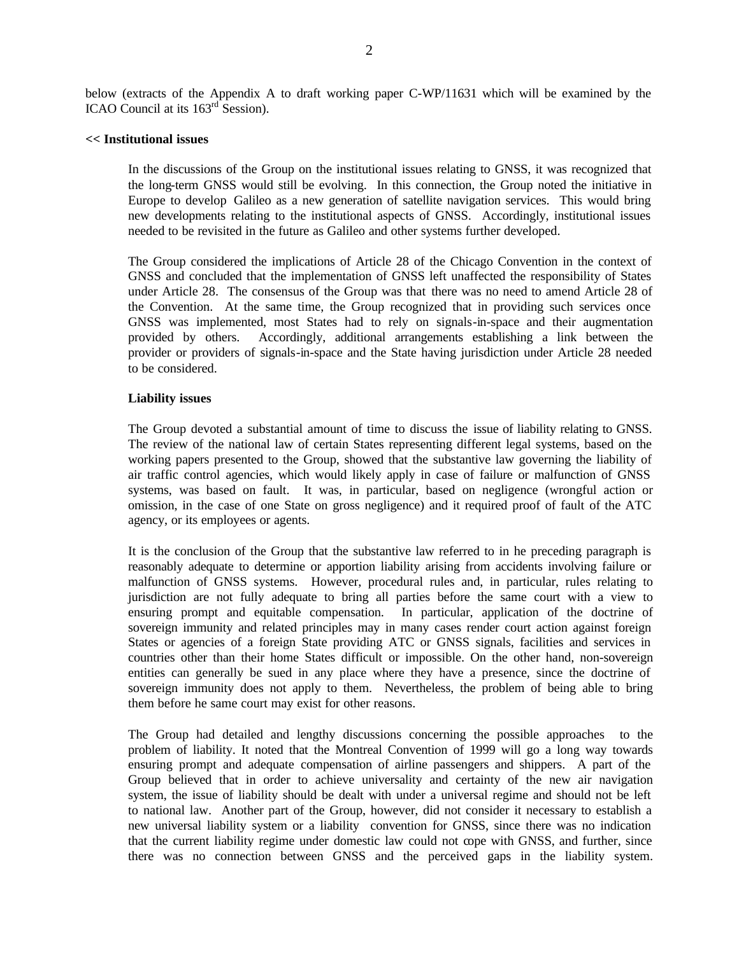below (extracts of the Appendix A to draft working paper C-WP/11631 which will be examined by the ICAO Council at its  $163<sup>rd</sup>$  Session).

## **<< Institutional issues**

In the discussions of the Group on the institutional issues relating to GNSS, it was recognized that the long-term GNSS would still be evolving. In this connection, the Group noted the initiative in Europe to develop Galileo as a new generation of satellite navigation services. This would bring new developments relating to the institutional aspects of GNSS. Accordingly, institutional issues needed to be revisited in the future as Galileo and other systems further developed.

The Group considered the implications of Article 28 of the Chicago Convention in the context of GNSS and concluded that the implementation of GNSS left unaffected the responsibility of States under Article 28. The consensus of the Group was that there was no need to amend Article 28 of the Convention. At the same time, the Group recognized that in providing such services once GNSS was implemented, most States had to rely on signals-in-space and their augmentation provided by others. Accordingly, additional arrangements establishing a link between the provider or providers of signals-in-space and the State having jurisdiction under Article 28 needed to be considered.

#### **Liability issues**

The Group devoted a substantial amount of time to discuss the issue of liability relating to GNSS. The review of the national law of certain States representing different legal systems, based on the working papers presented to the Group, showed that the substantive law governing the liability of air traffic control agencies, which would likely apply in case of failure or malfunction of GNSS systems, was based on fault. It was, in particular, based on negligence (wrongful action or omission, in the case of one State on gross negligence) and it required proof of fault of the ATC agency, or its employees or agents.

It is the conclusion of the Group that the substantive law referred to in he preceding paragraph is reasonably adequate to determine or apportion liability arising from accidents involving failure or malfunction of GNSS systems. However, procedural rules and, in particular, rules relating to jurisdiction are not fully adequate to bring all parties before the same court with a view to ensuring prompt and equitable compensation. In particular, application of the doctrine of sovereign immunity and related principles may in many cases render court action against foreign States or agencies of a foreign State providing ATC or GNSS signals, facilities and services in countries other than their home States difficult or impossible. On the other hand, non-sovereign entities can generally be sued in any place where they have a presence, since the doctrine of sovereign immunity does not apply to them. Nevertheless, the problem of being able to bring them before he same court may exist for other reasons.

The Group had detailed and lengthy discussions concerning the possible approaches to the problem of liability. It noted that the Montreal Convention of 1999 will go a long way towards ensuring prompt and adequate compensation of airline passengers and shippers. A part of the Group believed that in order to achieve universality and certainty of the new air navigation system, the issue of liability should be dealt with under a universal regime and should not be left to national law. Another part of the Group, however, did not consider it necessary to establish a new universal liability system or a liability convention for GNSS, since there was no indication that the current liability regime under domestic law could not cope with GNSS, and further, since there was no connection between GNSS and the perceived gaps in the liability system.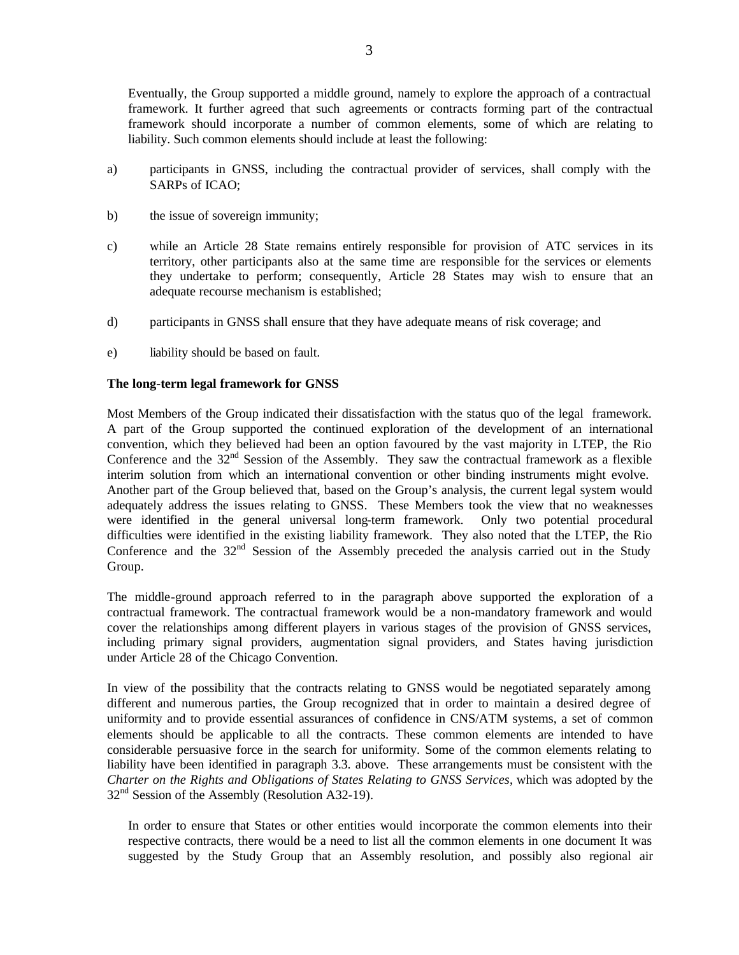Eventually, the Group supported a middle ground, namely to explore the approach of a contractual framework. It further agreed that such agreements or contracts forming part of the contractual framework should incorporate a number of common elements, some of which are relating to liability. Such common elements should include at least the following:

- a) participants in GNSS, including the contractual provider of services, shall comply with the SARPs of ICAO;
- b) the issue of sovereign immunity;
- c) while an Article 28 State remains entirely responsible for provision of ATC services in its territory, other participants also at the same time are responsible for the services or elements they undertake to perform; consequently, Article 28 States may wish to ensure that an adequate recourse mechanism is established;
- d) participants in GNSS shall ensure that they have adequate means of risk coverage; and
- e) liability should be based on fault.

## **The long-term legal framework for GNSS**

Most Members of the Group indicated their dissatisfaction with the status quo of the legal framework. A part of the Group supported the continued exploration of the development of an international convention, which they believed had been an option favoured by the vast majority in LTEP, the Rio Conference and the 32<sup>nd</sup> Session of the Assembly. They saw the contractual framework as a flexible interim solution from which an international convention or other binding instruments might evolve. Another part of the Group believed that, based on the Group's analysis, the current legal system would adequately address the issues relating to GNSS. These Members took the view that no weaknesses were identified in the general universal long-term framework. Only two potential procedural difficulties were identified in the existing liability framework. They also noted that the LTEP, the Rio Conference and the  $32<sup>nd</sup>$  Session of the Assembly preceded the analysis carried out in the Study Group.

The middle-ground approach referred to in the paragraph above supported the exploration of a contractual framework. The contractual framework would be a non-mandatory framework and would cover the relationships among different players in various stages of the provision of GNSS services, including primary signal providers, augmentation signal providers, and States having jurisdiction under Article 28 of the Chicago Convention.

In view of the possibility that the contracts relating to GNSS would be negotiated separately among different and numerous parties, the Group recognized that in order to maintain a desired degree of uniformity and to provide essential assurances of confidence in CNS/ATM systems, a set of common elements should be applicable to all the contracts. These common elements are intended to have considerable persuasive force in the search for uniformity. Some of the common elements relating to liability have been identified in paragraph 3.3. above. These arrangements must be consistent with the *Charter on the Rights and Obligations of States Relating to GNSS Services*, which was adopted by the  $32<sup>nd</sup>$  Session of the Assembly (Resolution A32-19).

In order to ensure that States or other entities would incorporate the common elements into their respective contracts, there would be a need to list all the common elements in one document It was suggested by the Study Group that an Assembly resolution, and possibly also regional air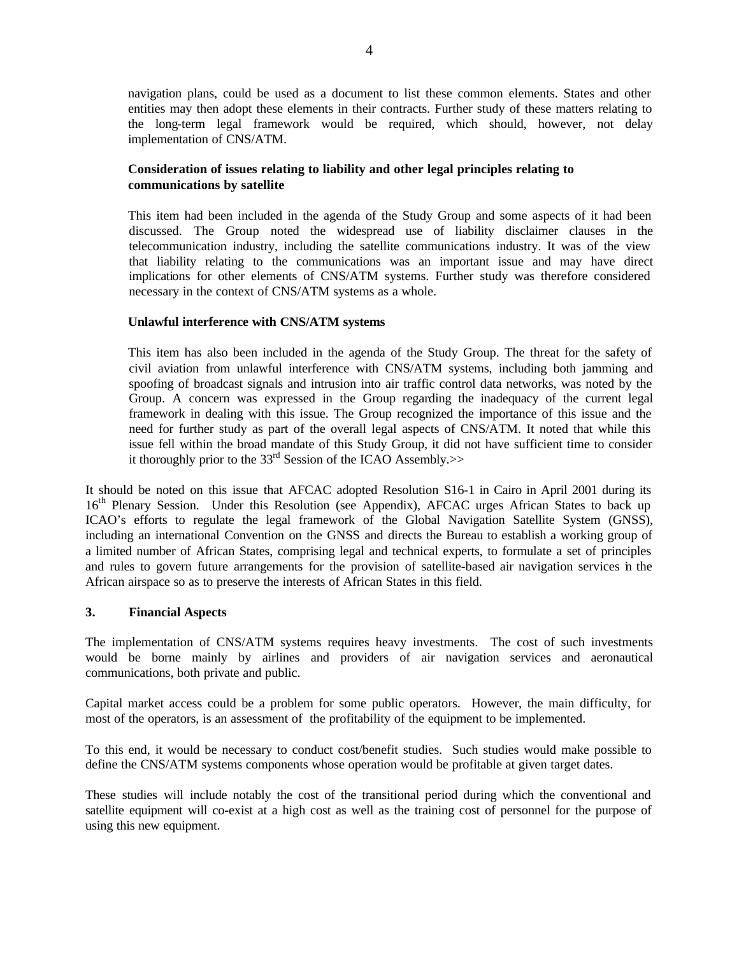navigation plans, could be used as a document to list these common elements. States and other entities may then adopt these elements in their contracts. Further study of these matters relating to the long-term legal framework would be required, which should, however, not delay implementation of CNS/ATM.

# **Consideration of issues relating to liability and other legal principles relating to communications by satellite**

This item had been included in the agenda of the Study Group and some aspects of it had been discussed. The Group noted the widespread use of liability disclaimer clauses in the telecommunication industry, including the satellite communications industry. It was of the view that liability relating to the communications was an important issue and may have direct implications for other elements of CNS/ATM systems. Further study was therefore considered necessary in the context of CNS/ATM systems as a whole.

## **Unlawful interference with CNS/ATM systems**

This item has also been included in the agenda of the Study Group. The threat for the safety of civil aviation from unlawful interference with CNS/ATM systems, including both jamming and spoofing of broadcast signals and intrusion into air traffic control data networks, was noted by the Group. A concern was expressed in the Group regarding the inadequacy of the current legal framework in dealing with this issue. The Group recognized the importance of this issue and the need for further study as part of the overall legal aspects of CNS/ATM. It noted that while this issue fell within the broad mandate of this Study Group, it did not have sufficient time to consider it thoroughly prior to the  $33<sup>rd</sup>$  Session of the ICAO Assembly. $>>$ 

It should be noted on this issue that AFCAC adopted Resolution S16-1 in Cairo in April 2001 during its 16<sup>th</sup> Plenary Session. Under this Resolution (see Appendix), AFCAC urges African States to back up ICAO's efforts to regulate the legal framework of the Global Navigation Satellite System (GNSS), including an international Convention on the GNSS and directs the Bureau to establish a working group of a limited number of African States, comprising legal and technical experts, to formulate a set of principles and rules to govern future arrangements for the provision of satellite-based air navigation services in the African airspace so as to preserve the interests of African States in this field.

#### **3. Financial Aspects**

The implementation of CNS/ATM systems requires heavy investments. The cost of such investments would be borne mainly by airlines and providers of air navigation services and aeronautical communications, both private and public.

Capital market access could be a problem for some public operators. However, the main difficulty, for most of the operators, is an assessment of the profitability of the equipment to be implemented.

To this end, it would be necessary to conduct cost/benefit studies. Such studies would make possible to define the CNS/ATM systems components whose operation would be profitable at given target dates.

These studies will include notably the cost of the transitional period during which the conventional and satellite equipment will co-exist at a high cost as well as the training cost of personnel for the purpose of using this new equipment.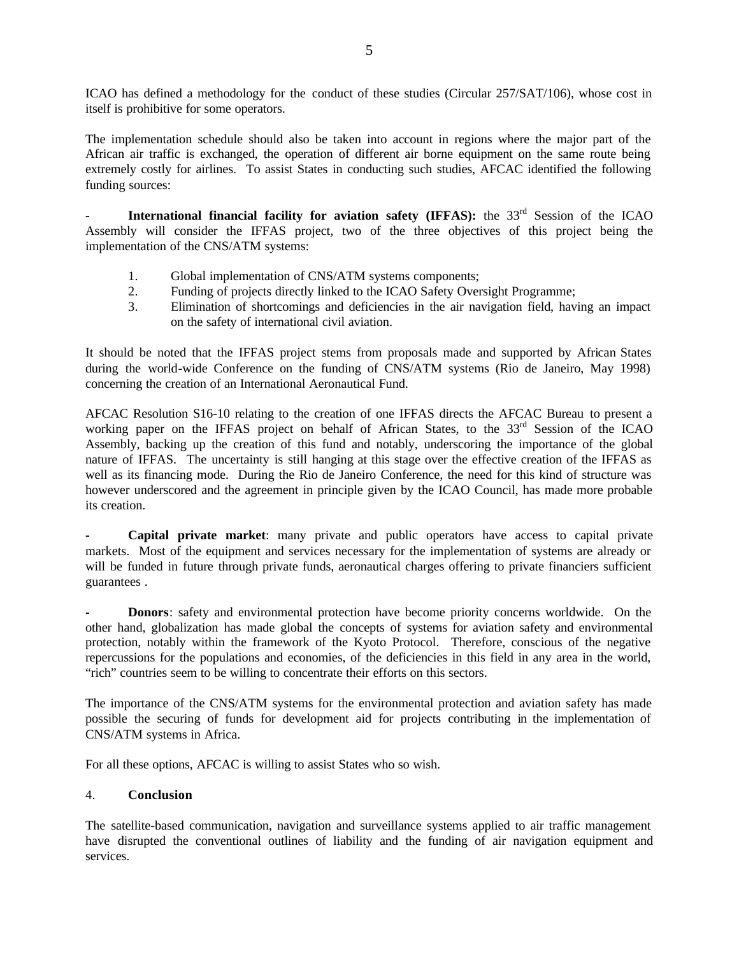ICAO has defined a methodology for the conduct of these studies (Circular 257/SAT/106), whose cost in itself is prohibitive for some operators.

The implementation schedule should also be taken into account in regions where the major part of the African air traffic is exchanged, the operation of different air borne equipment on the same route being extremely costly for airlines. To assist States in conducting such studies, AFCAC identified the following funding sources:

**International financial facility for aviation safety (IFFAS):** the 33<sup>rd</sup> Session of the ICAO Assembly will consider the IFFAS project, two of the three objectives of this project being the implementation of the CNS/ATM systems:

- 1. Global implementation of CNS/ATM systems components;
- 2. Funding of projects directly linked to the ICAO Safety Oversight Programme;
- 3. Elimination of shortcomings and deficiencies in the air navigation field, having an impact on the safety of international civil aviation.

It should be noted that the IFFAS project stems from proposals made and supported by African States during the world-wide Conference on the funding of CNS/ATM systems (Rio de Janeiro, May 1998) concerning the creation of an International Aeronautical Fund.

AFCAC Resolution S16-10 relating to the creation of one IFFAS directs the AFCAC Bureau to present a working paper on the IFFAS project on behalf of African States, to the 33<sup>rd</sup> Session of the ICAO Assembly, backing up the creation of this fund and notably, underscoring the importance of the global nature of IFFAS. The uncertainty is still hanging at this stage over the effective creation of the IFFAS as well as its financing mode. During the Rio de Janeiro Conference, the need for this kind of structure was however underscored and the agreement in principle given by the ICAO Council, has made more probable its creation.

**- Capital private market**: many private and public operators have access to capital private markets. Most of the equipment and services necessary for the implementation of systems are already or will be funded in future through private funds, aeronautical charges offering to private financiers sufficient guarantees .

**- Donors**: safety and environmental protection have become priority concerns worldwide. On the other hand, globalization has made global the concepts of systems for aviation safety and environmental protection, notably within the framework of the Kyoto Protocol. Therefore, conscious of the negative repercussions for the populations and economies, of the deficiencies in this field in any area in the world, "rich" countries seem to be willing to concentrate their efforts on this sectors.

The importance of the CNS/ATM systems for the environmental protection and aviation safety has made possible the securing of funds for development aid for projects contributing in the implementation of CNS/ATM systems in Africa.

For all these options, AFCAC is willing to assist States who so wish.

## 4. **Conclusion**

The satellite-based communication, navigation and surveillance systems applied to air traffic management have disrupted the conventional outlines of liability and the funding of air navigation equipment and services.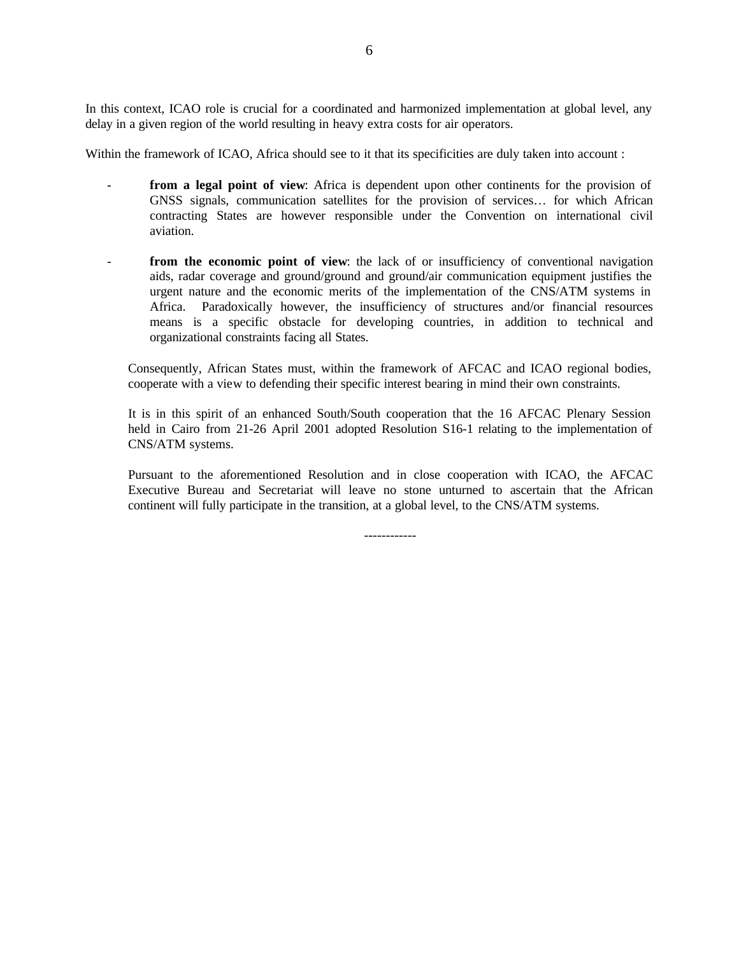In this context, ICAO role is crucial for a coordinated and harmonized implementation at global level, any delay in a given region of the world resulting in heavy extra costs for air operators.

Within the framework of ICAO, Africa should see to it that its specificities are duly taken into account :

- from a legal point of view: Africa is dependent upon other continents for the provision of GNSS signals, communication satellites for the provision of services… for which African contracting States are however responsible under the Convention on international civil aviation.
- **from the economic point of view**: the lack of or insufficiency of conventional navigation aids, radar coverage and ground/ground and ground/air communication equipment justifies the urgent nature and the economic merits of the implementation of the CNS/ATM systems in Africa. Paradoxically however, the insufficiency of structures and/or financial resources means is a specific obstacle for developing countries, in addition to technical and organizational constraints facing all States.

Consequently, African States must, within the framework of AFCAC and ICAO regional bodies, cooperate with a view to defending their specific interest bearing in mind their own constraints.

It is in this spirit of an enhanced South/South cooperation that the 16 AFCAC Plenary Session held in Cairo from 21-26 April 2001 adopted Resolution S16-1 relating to the implementation of CNS/ATM systems.

Pursuant to the aforementioned Resolution and in close cooperation with ICAO, the AFCAC Executive Bureau and Secretariat will leave no stone unturned to ascertain that the African continent will fully participate in the transition, at a global level, to the CNS/ATM systems.

------------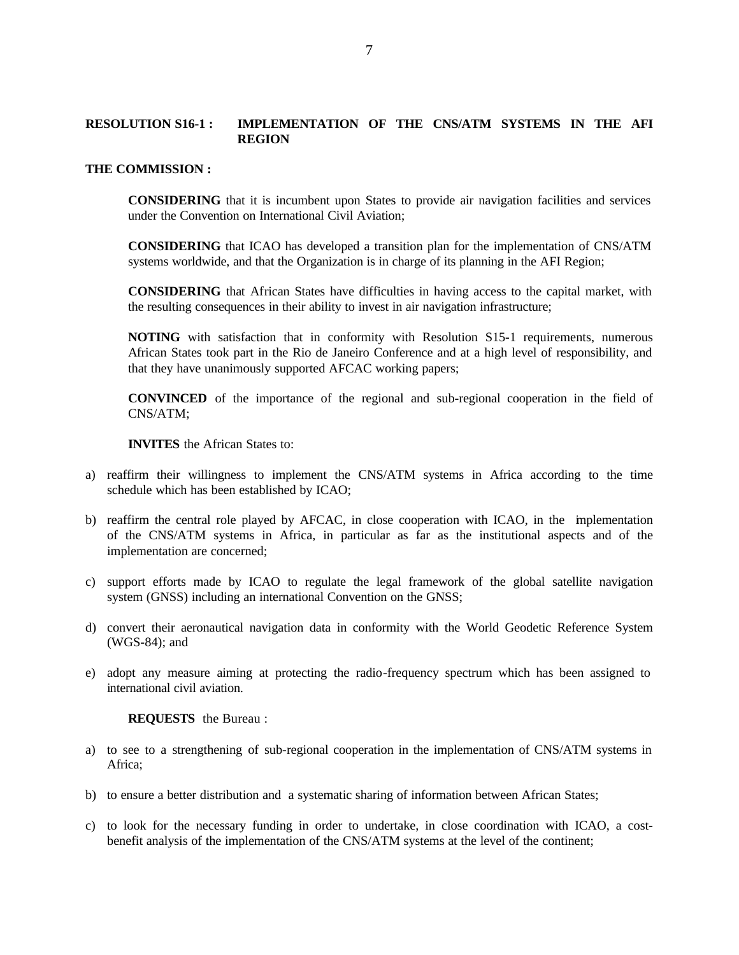## **RESOLUTION S16-1 : IMPLEMENTATION OF THE CNS/ATM SYSTEMS IN THE AFI REGION**

#### **THE COMMISSION :**

**CONSIDERING** that it is incumbent upon States to provide air navigation facilities and services under the Convention on International Civil Aviation;

**CONSIDERING** that ICAO has developed a transition plan for the implementation of CNS/ATM systems worldwide, and that the Organization is in charge of its planning in the AFI Region;

**CONSIDERING** that African States have difficulties in having access to the capital market, with the resulting consequences in their ability to invest in air navigation infrastructure;

**NOTING** with satisfaction that in conformity with Resolution S15-1 requirements, numerous African States took part in the Rio de Janeiro Conference and at a high level of responsibility, and that they have unanimously supported AFCAC working papers;

**CONVINCED** of the importance of the regional and sub-regional cooperation in the field of CNS/ATM;

**INVITES** the African States to:

- a) reaffirm their willingness to implement the CNS/ATM systems in Africa according to the time schedule which has been established by ICAO;
- b) reaffirm the central role played by AFCAC, in close cooperation with ICAO, in the implementation of the CNS/ATM systems in Africa, in particular as far as the institutional aspects and of the implementation are concerned;
- c) support efforts made by ICAO to regulate the legal framework of the global satellite navigation system (GNSS) including an international Convention on the GNSS;
- d) convert their aeronautical navigation data in conformity with the World Geodetic Reference System (WGS-84); and
- e) adopt any measure aiming at protecting the radio-frequency spectrum which has been assigned to international civil aviation.

**REQUESTS** the Bureau :

- a) to see to a strengthening of sub-regional cooperation in the implementation of CNS/ATM systems in Africa;
- b) to ensure a better distribution and a systematic sharing of information between African States;
- c) to look for the necessary funding in order to undertake, in close coordination with ICAO, a costbenefit analysis of the implementation of the CNS/ATM systems at the level of the continent;